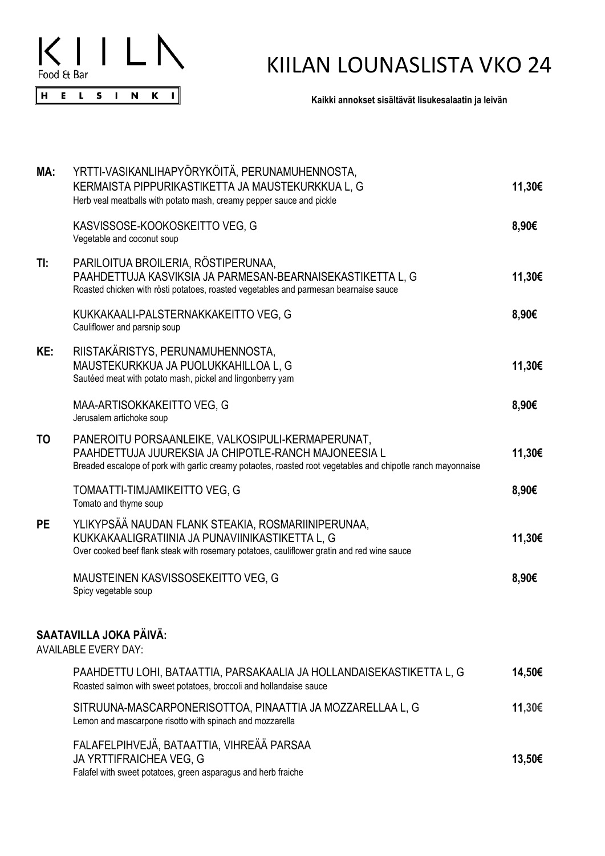

## KIILAN LOUNASLISTA VKO 24

**Kaikki annokset sisältävät lisukesalaatin ja leivän**

| MA:       | YRTTI-VASIKANLIHAPYÖRYKÖITÄ, PERUNAMUHENNOSTA,<br>KERMAISTA PIPPURIKASTIKETTA JA MAUSTEKURKKUA L, G<br>Herb veal meatballs with potato mash, creamy pepper sauce and pickle                                              | 11,30€ |
|-----------|--------------------------------------------------------------------------------------------------------------------------------------------------------------------------------------------------------------------------|--------|
|           | KASVISSOSE-KOOKOSKEITTO VEG, G<br>Vegetable and coconut soup                                                                                                                                                             | 8,90€  |
| TI:       | PARILOITUA BROILERIA, RÖSTIPERUNAA,<br>PAAHDETTUJA KASVIKSIA JA PARMESAN-BEARNAISEKASTIKETTA L, G<br>Roasted chicken with rösti potatoes, roasted vegetables and parmesan bearnaise sauce                                | 11,30€ |
|           | KUKKAKAALI-PALSTERNAKKAKEITTO VEG, G<br>Cauliflower and parsnip soup                                                                                                                                                     | 8,90€  |
| KE:       | RIISTAKÄRISTYS, PERUNAMUHENNOSTA,<br>MAUSTEKURKKUA JA PUOLUKKAHILLOA L, G<br>Sautéed meat with potato mash, pickel and lingonberry yam                                                                                   | 11,30€ |
|           | MAA-ARTISOKKAKEITTO VEG, G<br>Jerusalem artichoke soup                                                                                                                                                                   | 8,90€  |
| TO        | PANEROITU PORSAANLEIKE, VALKOSIPULI-KERMAPERUNAT,<br>PAAHDETTUJA JUUREKSIA JA CHIPOTLE-RANCH MAJONEESIA L<br>Breaded escalope of pork with garlic creamy potaotes, roasted root vegetables and chipotle ranch mayonnaise | 11,30€ |
|           | TOMAATTI-TIMJAMIKEITTO VEG, G<br>Tomato and thyme soup                                                                                                                                                                   | 8,90€  |
| <b>PE</b> | YLIKYPSÄÄ NAUDAN FLANK STEAKIA, ROSMARIINIPERUNAA,<br>KUKKAKAALIGRATIINIA JA PUNAVIINIKASTIKETTA L, G<br>Over cooked beef flank steak with rosemary potatoes, cauliflower gratin and red wine sauce                      | 11,30€ |
|           | MAUSTEINEN KASVISSOSEKEITTO VEG, G<br>Spicy vegetable soup                                                                                                                                                               | 8,90€  |
|           | SAATAVILLA JOKA PÄIVÄ:<br><b>AVAILABLE EVERY DAY:</b>                                                                                                                                                                    |        |
|           | PAAHDETTU LOHI, BATAATTIA, PARSAKAALIA JA HOLLANDAISEKASTIKETTA L, G<br>Roasted salmon with sweet potatoes, broccoli and hollandaise sauce                                                                               | 14,50€ |
|           | SITRUUNA-MASCARPONERISOTTOA, PINAATTIA JA MOZZARELLAA L, G<br>Lemon and mascarpone risotto with spinach and mozzarella                                                                                                   | 11,30€ |
|           | FALAFELPIHVEJÄ, BATAATTIA, VIHREÄÄ PARSAA<br>JA YRTTIFRAICHEA VEG, G<br>Falafel with sweet potatoes, green asparagus and herb fraiche                                                                                    | 13,50€ |